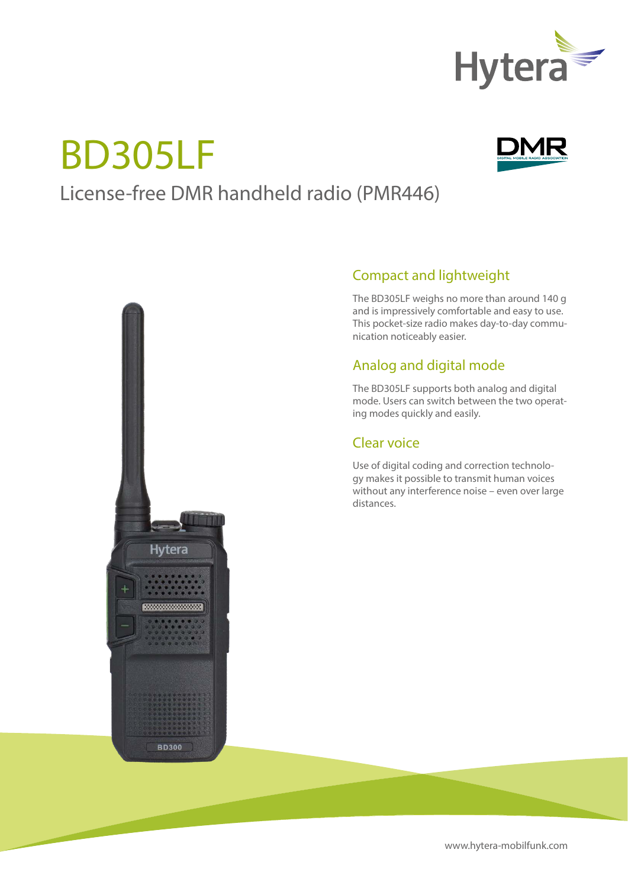

# BD305LF



## License-free DMR handheld radio (PMR446)



#### Compact and lightweight

The BD305LF weighs no more than around 140 g and is impressively comfortable and easy to use. This pocket-size radio makes day-to-day communication noticeably easier.

### Analog and digital mode

The BD305LF supports both analog and digital mode. Users can switch between the two operating modes quickly and easily.

#### Clear voice

Use of digital coding and correction technology makes it possible to transmit human voices without any interference noise – even over large distances.